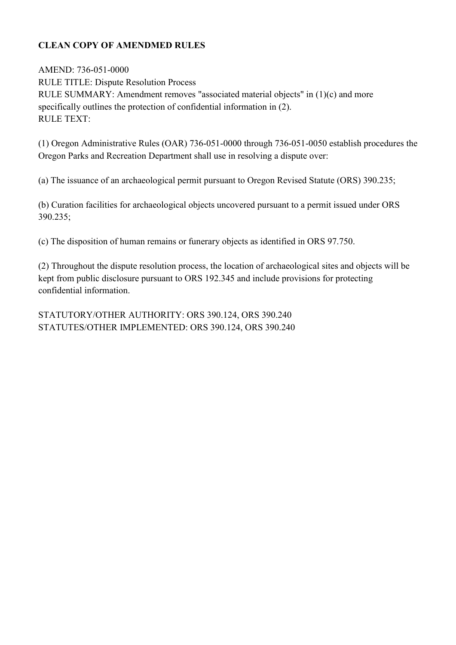# **CLEAN COPY OF AMENDMED RULES**

AMEND: 736-051-0000 RULE TITLE: Dispute Resolution Process RULE SUMMARY: Amendment removes "associated material objects" in (1)(c) and more specifically outlines the protection of confidential information in (2). RULE TEXT:

(1) Oregon Administrative Rules (OAR) 736-051-0000 through 736-051-0050 establish procedures the Oregon Parks and Recreation Department shall use in resolving a dispute over:

(a) The issuance of an archaeological permit pursuant to Oregon Revised Statute (ORS) 390.235;

(b) Curation facilities for archaeological objects uncovered pursuant to a permit issued under ORS 390.235;

(c) The disposition of human remains or funerary objects as identified in ORS 97.750.

(2) Throughout the dispute resolution process, the location of archaeological sites and objects will be kept from public disclosure pursuant to ORS 192.345 and include provisions for protecting confidential information.

STATUTORY/OTHER AUTHORITY: ORS 390.124, ORS 390.240 STATUTES/OTHER IMPLEMENTED: ORS 390.124, ORS 390.240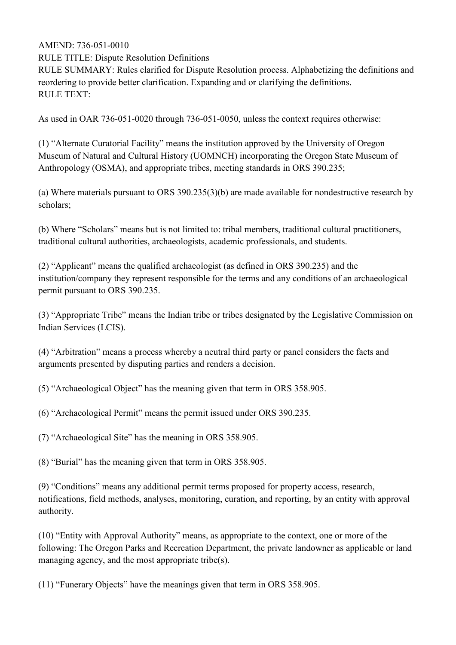RULE TITLE: Dispute Resolution Definitions

RULE SUMMARY: Rules clarified for Dispute Resolution process. Alphabetizing the definitions and reordering to provide better clarification. Expanding and or clarifying the definitions. RULE TEXT:

As used in OAR 736-051-0020 through 736-051-0050, unless the context requires otherwise:

(1) "Alternate Curatorial Facility" means the institution approved by the University of Oregon Museum of Natural and Cultural History (UOMNCH) incorporating the Oregon State Museum of Anthropology (OSMA), and appropriate tribes, meeting standards in ORS 390.235;

(a) Where materials pursuant to ORS 390.235(3)(b) are made available for nondestructive research by scholars;

(b) Where "Scholars" means but is not limited to: tribal members, traditional cultural practitioners, traditional cultural authorities, archaeologists, academic professionals, and students.

(2) "Applicant" means the qualified archaeologist (as defined in ORS 390.235) and the institution/company they represent responsible for the terms and any conditions of an archaeological permit pursuant to ORS 390.235.

(3) "Appropriate Tribe" means the Indian tribe or tribes designated by the Legislative Commission on Indian Services (LCIS).

(4) "Arbitration" means a process whereby a neutral third party or panel considers the facts and arguments presented by disputing parties and renders a decision.

(5) "Archaeological Object" has the meaning given that term in ORS 358.905.

(6) "Archaeological Permit" means the permit issued under ORS 390.235.

(7) "Archaeological Site" has the meaning in ORS 358.905.

(8) "Burial" has the meaning given that term in ORS 358.905.

(9) "Conditions" means any additional permit terms proposed for property access, research, notifications, field methods, analyses, monitoring, curation, and reporting, by an entity with approval authority.

(10) "Entity with Approval Authority" means, as appropriate to the context, one or more of the following: The Oregon Parks and Recreation Department, the private landowner as applicable or land managing agency, and the most appropriate tribe(s).

(11) "Funerary Objects" have the meanings given that term in ORS 358.905.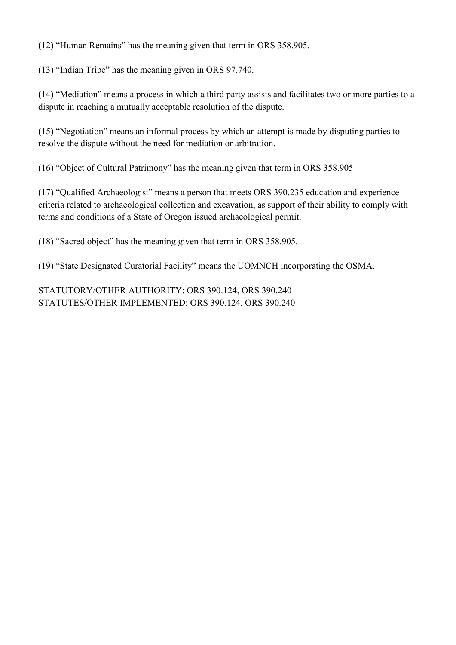(12) "Human Remains" has the meaning given that term in ORS 358.905.

(13) "Indian Tribe" has the meaning given in ORS 97.740.

(14) "Mediation" means a process in which a third party assists and facilitates two or more parties to a dispute in reaching a mutually acceptable resolution of the dispute.

(15) "Negotiation" means an informal process by which an attempt is made by disputing parties to resolve the dispute without the need for mediation or arbitration.

(16) "Object of Cultural Patrimony" has the meaning given that term in ORS 358.905

(17) "Qualified Archaeologist" means a person that meets ORS 390.235 education and experience criteria related to archaeological collection and excavation, as support of their ability to comply with terms and conditions of a State of Oregon issued archaeological permit.

(18) "Sacred object" has the meaning given that term in ORS 358.905.

(19) "State Designated Curatorial Facility" means the UOMNCH incorporating the OSMA.

STATUTORY/OTHER AUTHORITY: ORS 390.124, ORS 390.240 STATUTES/OTHER IMPLEMENTED: ORS 390.124, ORS 390.240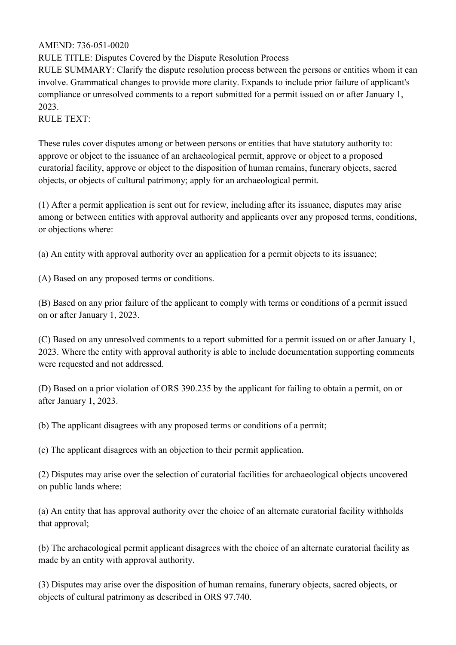RULE TITLE: Disputes Covered by the Dispute Resolution Process

RULE SUMMARY: Clarify the dispute resolution process between the persons or entities whom it can involve. Grammatical changes to provide more clarity. Expands to include prior failure of applicant's compliance or unresolved comments to a report submitted for a permit issued on or after January 1, 2023.

#### RULE TEXT:

These rules cover disputes among or between persons or entities that have statutory authority to: approve or object to the issuance of an archaeological permit, approve or object to a proposed curatorial facility, approve or object to the disposition of human remains, funerary objects, sacred objects, or objects of cultural patrimony; apply for an archaeological permit.

(1) After a permit application is sent out for review, including after its issuance, disputes may arise among or between entities with approval authority and applicants over any proposed terms, conditions, or objections where:

(a) An entity with approval authority over an application for a permit objects to its issuance;

(A) Based on any proposed terms or conditions.

(B) Based on any prior failure of the applicant to comply with terms or conditions of a permit issued on or after January 1, 2023.

(C) Based on any unresolved comments to a report submitted for a permit issued on or after January 1, 2023. Where the entity with approval authority is able to include documentation supporting comments were requested and not addressed.

(D) Based on a prior violation of ORS 390.235 by the applicant for failing to obtain a permit, on or after January 1, 2023.

(b) The applicant disagrees with any proposed terms or conditions of a permit;

(c) The applicant disagrees with an objection to their permit application.

(2) Disputes may arise over the selection of curatorial facilities for archaeological objects uncovered on public lands where:

(a) An entity that has approval authority over the choice of an alternate curatorial facility withholds that approval;

(b) The archaeological permit applicant disagrees with the choice of an alternate curatorial facility as made by an entity with approval authority.

(3) Disputes may arise over the disposition of human remains, funerary objects, sacred objects, or objects of cultural patrimony as described in ORS 97.740.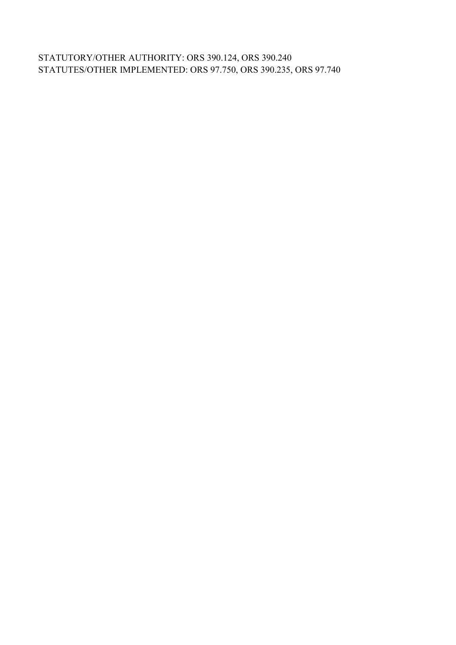STATUTORY/OTHER AUTHORITY: ORS 390.124, ORS 390.240 STATUTES/OTHER IMPLEMENTED: ORS 97.750, ORS 390.235, ORS 97.740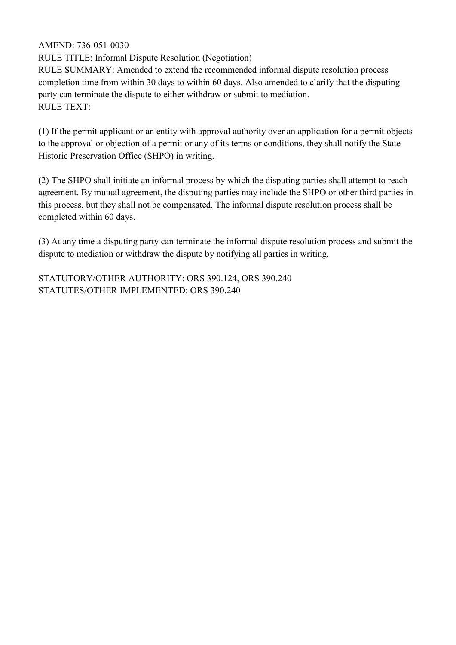RULE TITLE: Informal Dispute Resolution (Negotiation)

RULE SUMMARY: Amended to extend the recommended informal dispute resolution process completion time from within 30 days to within 60 days. Also amended to clarify that the disputing party can terminate the dispute to either withdraw or submit to mediation. RULE TEXT:

(1) If the permit applicant or an entity with approval authority over an application for a permit objects to the approval or objection of a permit or any of its terms or conditions, they shall notify the State Historic Preservation Office (SHPO) in writing.

(2) The SHPO shall initiate an informal process by which the disputing parties shall attempt to reach agreement. By mutual agreement, the disputing parties may include the SHPO or other third parties in this process, but they shall not be compensated. The informal dispute resolution process shall be completed within 60 days.

(3) At any time a disputing party can terminate the informal dispute resolution process and submit the dispute to mediation or withdraw the dispute by notifying all parties in writing.

STATUTORY/OTHER AUTHORITY: ORS 390.124, ORS 390.240 STATUTES/OTHER IMPLEMENTED: ORS 390.240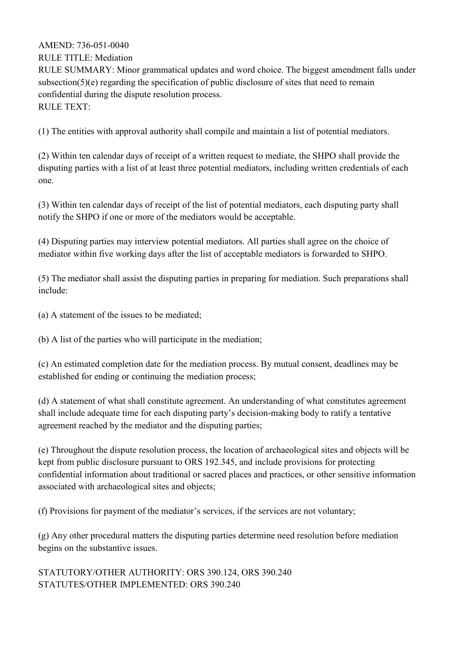RULE TITLE: Mediation

RULE SUMMARY: Minor grammatical updates and word choice. The biggest amendment falls under subsection(5)(e) regarding the specification of public disclosure of sites that need to remain confidential during the dispute resolution process. RULE TEXT:

(1) The entities with approval authority shall compile and maintain a list of potential mediators.

(2) Within ten calendar days of receipt of a written request to mediate, the SHPO shall provide the disputing parties with a list of at least three potential mediators, including written credentials of each one.

(3) Within ten calendar days of receipt of the list of potential mediators, each disputing party shall notify the SHPO if one or more of the mediators would be acceptable.

(4) Disputing parties may interview potential mediators. All parties shall agree on the choice of mediator within five working days after the list of acceptable mediators is forwarded to SHPO.

(5) The mediator shall assist the disputing parties in preparing for mediation. Such preparations shall include:

(a) A statement of the issues to be mediated;

(b) A list of the parties who will participate in the mediation;

(c) An estimated completion date for the mediation process. By mutual consent, deadlines may be established for ending or continuing the mediation process;

(d) A statement of what shall constitute agreement. An understanding of what constitutes agreement shall include adequate time for each disputing party's decision-making body to ratify a tentative agreement reached by the mediator and the disputing parties;

(e) Throughout the dispute resolution process, the location of archaeological sites and objects will be kept from public disclosure pursuant to ORS 192.345, and include provisions for protecting confidential information about traditional or sacred places and practices, or other sensitive information associated with archaeological sites and objects;

(f) Provisions for payment of the mediator's services, if the services are not voluntary;

(g) Any other procedural matters the disputing parties determine need resolution before mediation begins on the substantive issues.

STATUTORY/OTHER AUTHORITY: ORS 390.124, ORS 390.240 STATUTES/OTHER IMPLEMENTED: ORS 390.240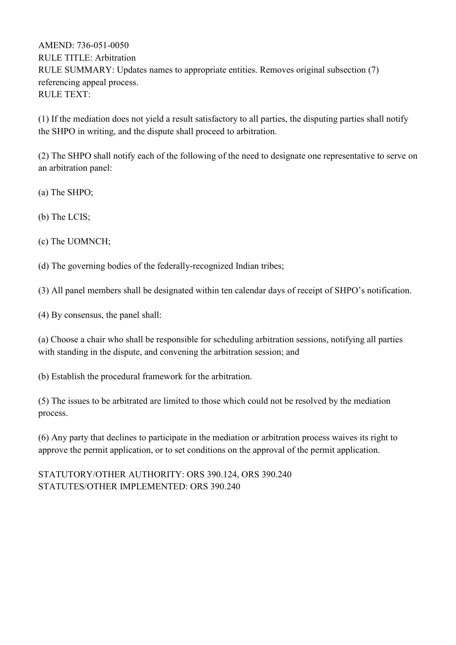AMEND: 736-051-0050 RULE TITLE: Arbitration RULE SUMMARY: Updates names to appropriate entities. Removes original subsection (7) referencing appeal process. RULE TEXT:

(1) If the mediation does not yield a result satisfactory to all parties, the disputing parties shall notify the SHPO in writing, and the dispute shall proceed to arbitration.

(2) The SHPO shall notify each of the following of the need to designate one representative to serve on an arbitration panel:

(a) The SHPO;

(b) The LCIS;

(c) The UOMNCH;

(d) The governing bodies of the federally-recognized Indian tribes;

(3) All panel members shall be designated within ten calendar days of receipt of SHPO's notification.

(4) By consensus, the panel shall:

(a) Choose a chair who shall be responsible for scheduling arbitration sessions, notifying all parties with standing in the dispute, and convening the arbitration session; and

(b) Establish the procedural framework for the arbitration.

(5) The issues to be arbitrated are limited to those which could not be resolved by the mediation process.

(6) Any party that declines to participate in the mediation or arbitration process waives its right to approve the permit application, or to set conditions on the approval of the permit application.

STATUTORY/OTHER AUTHORITY: ORS 390.124, ORS 390.240 STATUTES/OTHER IMPLEMENTED: ORS 390.240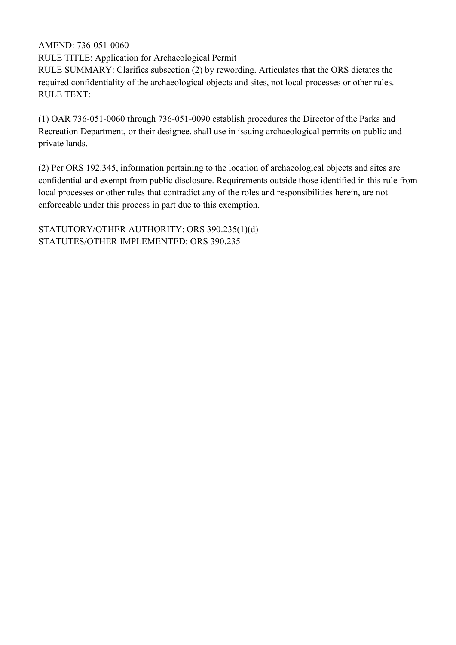RULE TITLE: Application for Archaeological Permit

RULE SUMMARY: Clarifies subsection (2) by rewording. Articulates that the ORS dictates the required confidentiality of the archaeological objects and sites, not local processes or other rules. RULE TEXT:

(1) OAR 736-051-0060 through 736-051-0090 establish procedures the Director of the Parks and Recreation Department, or their designee, shall use in issuing archaeological permits on public and private lands.

(2) Per ORS 192.345, information pertaining to the location of archaeological objects and sites are confidential and exempt from public disclosure. Requirements outside those identified in this rule from local processes or other rules that contradict any of the roles and responsibilities herein, are not enforceable under this process in part due to this exemption.

STATUTORY/OTHER AUTHORITY: ORS 390.235(1)(d) STATUTES/OTHER IMPLEMENTED: ORS 390.235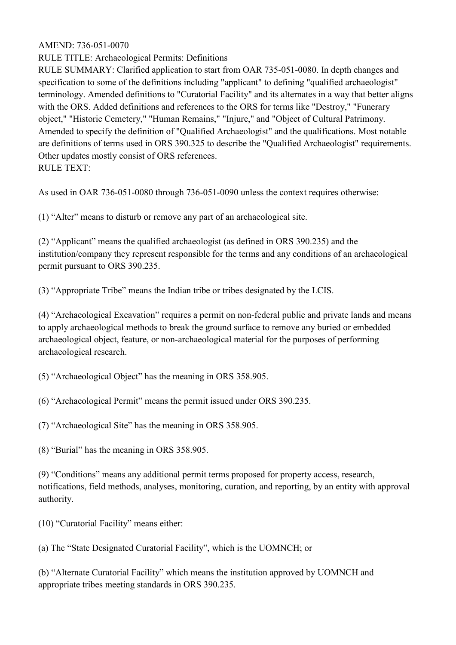RULE TITLE: Archaeological Permits: Definitions

RULE SUMMARY: Clarified application to start from OAR 735-051-0080. In depth changes and specification to some of the definitions including "applicant" to defining "qualified archaeologist" terminology. Amended definitions to "Curatorial Facility" and its alternates in a way that better aligns with the ORS. Added definitions and references to the ORS for terms like "Destroy," "Funerary object," "Historic Cemetery," "Human Remains," "Injure," and "Object of Cultural Patrimony. Amended to specify the definition of "Qualified Archaeologist" and the qualifications. Most notable are definitions of terms used in ORS 390.325 to describe the "Qualified Archaeologist" requirements. Other updates mostly consist of ORS references. RULE TEXT:

As used in OAR 736-051-0080 through 736-051-0090 unless the context requires otherwise:

(1) "Alter" means to disturb or remove any part of an archaeological site.

(2) "Applicant" means the qualified archaeologist (as defined in ORS 390.235) and the institution/company they represent responsible for the terms and any conditions of an archaeological permit pursuant to ORS 390.235.

(3) "Appropriate Tribe" means the Indian tribe or tribes designated by the LCIS.

(4) "Archaeological Excavation" requires a permit on non-federal public and private lands and means to apply archaeological methods to break the ground surface to remove any buried or embedded archaeological object, feature, or non-archaeological material for the purposes of performing archaeological research.

(5) "Archaeological Object" has the meaning in ORS 358.905.

(6) "Archaeological Permit" means the permit issued under ORS 390.235.

(7) "Archaeological Site" has the meaning in ORS 358.905.

(8) "Burial" has the meaning in ORS 358.905.

(9) "Conditions" means any additional permit terms proposed for property access, research, notifications, field methods, analyses, monitoring, curation, and reporting, by an entity with approval authority.

(10) "Curatorial Facility" means either:

(a) The "State Designated Curatorial Facility", which is the UOMNCH; or

(b) "Alternate Curatorial Facility" which means the institution approved by UOMNCH and appropriate tribes meeting standards in ORS 390.235.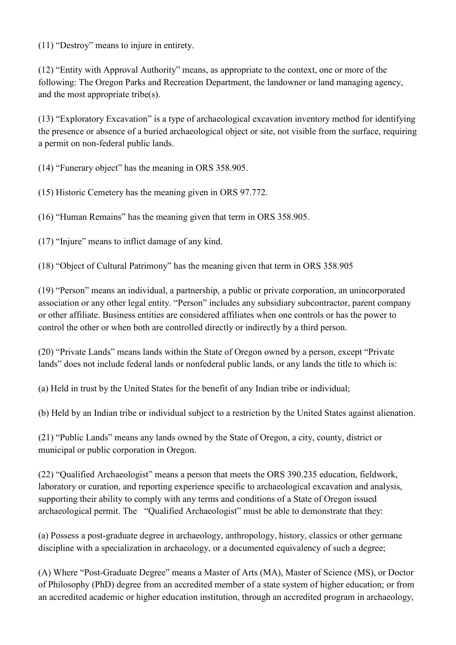(11) "Destroy" means to injure in entirety.

(12) "Entity with Approval Authority" means, as appropriate to the context, one or more of the following: The Oregon Parks and Recreation Department, the landowner or land managing agency, and the most appropriate tribe(s).

(13) "Exploratory Excavation" is a type of archaeological excavation inventory method for identifying the presence or absence of a buried archaeological object or site, not visible from the surface, requiring a permit on non-federal public lands.

(14) "Funerary object" has the meaning in ORS 358.905.

(15) Historic Cemetery has the meaning given in ORS 97.772.

(16) "Human Remains" has the meaning given that term in ORS 358.905.

(17) "Injure" means to inflict damage of any kind.

(18) "Object of Cultural Patrimony" has the meaning given that term in ORS 358.905

(19) "Person" means an individual, a partnership, a public or private corporation, an unincorporated association or any other legal entity. "Person" includes any subsidiary subcontractor, parent company or other affiliate. Business entities are considered affiliates when one controls or has the power to control the other or when both are controlled directly or indirectly by a third person.

(20) "Private Lands" means lands within the State of Oregon owned by a person, except "Private lands" does not include federal lands or nonfederal public lands, or any lands the title to which is:

(a) Held in trust by the United States for the benefit of any Indian tribe or individual;

(b) Held by an Indian tribe or individual subject to a restriction by the United States against alienation.

(21) "Public Lands" means any lands owned by the State of Oregon, a city, county, district or municipal or public corporation in Oregon.

(22) "Qualified Archaeologist" means a person that meets the ORS 390.235 education, fieldwork, laboratory or curation, and reporting experience specific to archaeological excavation and analysis, supporting their ability to comply with any terms and conditions of a State of Oregon issued archaeological permit. The "Qualified Archaeologist" must be able to demonstrate that they:

(a) Possess a post-graduate degree in archaeology, anthropology, history, classics or other germane discipline with a specialization in archaeology, or a documented equivalency of such a degree;

(A) Where "Post-Graduate Degree" means a Master of Arts (MA), Master of Science (MS), or Doctor of Philosophy (PhD) degree from an accredited member of a state system of higher education; or from an accredited academic or higher education institution, through an accredited program in archaeology,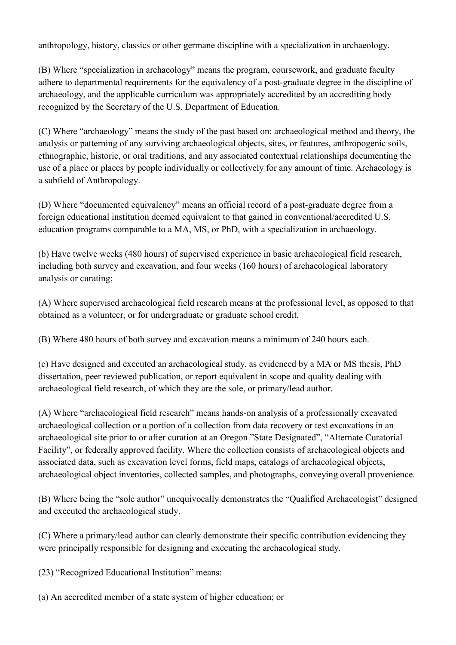anthropology, history, classics or other germane discipline with a specialization in archaeology.

(B) Where "specialization in archaeology" means the program, coursework, and graduate faculty adhere to departmental requirements for the equivalency of a post-graduate degree in the discipline of archaeology, and the applicable curriculum was appropriately accredited by an accrediting body recognized by the Secretary of the U.S. Department of Education.

(C) Where "archaeology" means the study of the past based on: archaeological method and theory, the analysis or patterning of any surviving archaeological objects, sites, or features, anthropogenic soils, ethnographic, historic, or oral traditions, and any associated contextual relationships documenting the use of a place or places by people individually or collectively for any amount of time. Archaeology is a subfield of Anthropology.

(D) Where "documented equivalency" means an official record of a post-graduate degree from a foreign educational institution deemed equivalent to that gained in conventional/accredited U.S. education programs comparable to a MA, MS, or PhD, with a specialization in archaeology.

(b) Have twelve weeks (480 hours) of supervised experience in basic archaeological field research, including both survey and excavation, and four weeks (160 hours) of archaeological laboratory analysis or curating;

(A) Where supervised archaeological field research means at the professional level, as opposed to that obtained as a volunteer, or for undergraduate or graduate school credit.

(B) Where 480 hours of both survey and excavation means a minimum of 240 hours each.

(c) Have designed and executed an archaeological study, as evidenced by a MA or MS thesis, PhD dissertation, peer reviewed publication, or report equivalent in scope and quality dealing with archaeological field research, of which they are the sole, or primary/lead author.

(A) Where "archaeological field research" means hands-on analysis of a professionally excavated archaeological collection or a portion of a collection from data recovery or test excavations in an archaeological site prior to or after curation at an Oregon "State Designated", "Alternate Curatorial Facility", or federally approved facility. Where the collection consists of archaeological objects and associated data, such as excavation level forms, field maps, catalogs of archaeological objects, archaeological object inventories, collected samples, and photographs, conveying overall provenience.

(B) Where being the "sole author" unequivocally demonstrates the "Qualified Archaeologist" designed and executed the archaeological study.

(C) Where a primary/lead author can clearly demonstrate their specific contribution evidencing they were principally responsible for designing and executing the archaeological study.

(23) "Recognized Educational Institution" means:

(a) An accredited member of a state system of higher education; or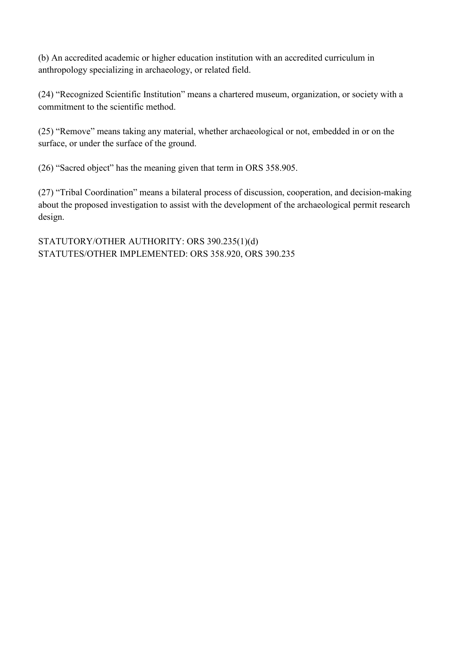(b) An accredited academic or higher education institution with an accredited curriculum in anthropology specializing in archaeology, or related field.

(24) "Recognized Scientific Institution" means a chartered museum, organization, or society with a commitment to the scientific method.

(25) "Remove" means taking any material, whether archaeological or not, embedded in or on the surface, or under the surface of the ground.

(26) "Sacred object" has the meaning given that term in ORS 358.905.

(27) "Tribal Coordination" means a bilateral process of discussion, cooperation, and decision-making about the proposed investigation to assist with the development of the archaeological permit research design.

STATUTORY/OTHER AUTHORITY: ORS 390.235(1)(d) STATUTES/OTHER IMPLEMENTED: ORS 358.920, ORS 390.235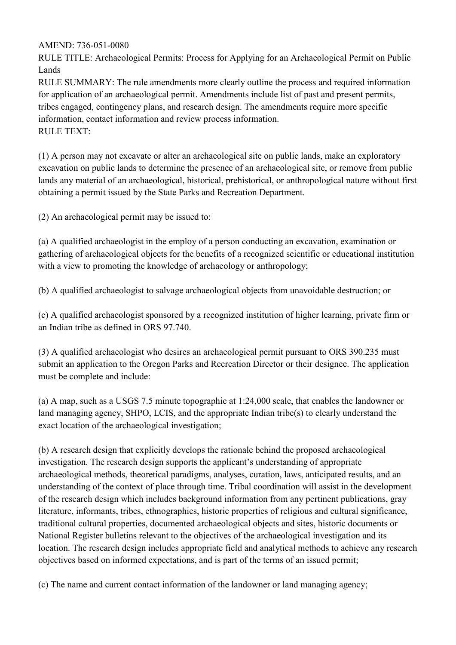RULE TITLE: Archaeological Permits: Process for Applying for an Archaeological Permit on Public Lands

RULE SUMMARY: The rule amendments more clearly outline the process and required information for application of an archaeological permit. Amendments include list of past and present permits, tribes engaged, contingency plans, and research design. The amendments require more specific information, contact information and review process information. RULE TEXT:

(1) A person may not excavate or alter an archaeological site on public lands, make an exploratory excavation on public lands to determine the presence of an archaeological site, or remove from public lands any material of an archaeological, historical, prehistorical, or anthropological nature without first obtaining a permit issued by the State Parks and Recreation Department.

(2) An archaeological permit may be issued to:

(a) A qualified archaeologist in the employ of a person conducting an excavation, examination or gathering of archaeological objects for the benefits of a recognized scientific or educational institution with a view to promoting the knowledge of archaeology or anthropology;

(b) A qualified archaeologist to salvage archaeological objects from unavoidable destruction; or

(c) A qualified archaeologist sponsored by a recognized institution of higher learning, private firm or an Indian tribe as defined in ORS 97.740.

(3) A qualified archaeologist who desires an archaeological permit pursuant to ORS 390.235 must submit an application to the Oregon Parks and Recreation Director or their designee. The application must be complete and include:

(a) A map, such as a USGS 7.5 minute topographic at 1:24,000 scale, that enables the landowner or land managing agency, SHPO, LCIS, and the appropriate Indian tribe(s) to clearly understand the exact location of the archaeological investigation;

(b) A research design that explicitly develops the rationale behind the proposed archaeological investigation. The research design supports the applicant's understanding of appropriate archaeological methods, theoretical paradigms, analyses, curation, laws, anticipated results, and an understanding of the context of place through time. Tribal coordination will assist in the development of the research design which includes background information from any pertinent publications, gray literature, informants, tribes, ethnographies, historic properties of religious and cultural significance, traditional cultural properties, documented archaeological objects and sites, historic documents or National Register bulletins relevant to the objectives of the archaeological investigation and its location. The research design includes appropriate field and analytical methods to achieve any research objectives based on informed expectations, and is part of the terms of an issued permit;

(c) The name and current contact information of the landowner or land managing agency;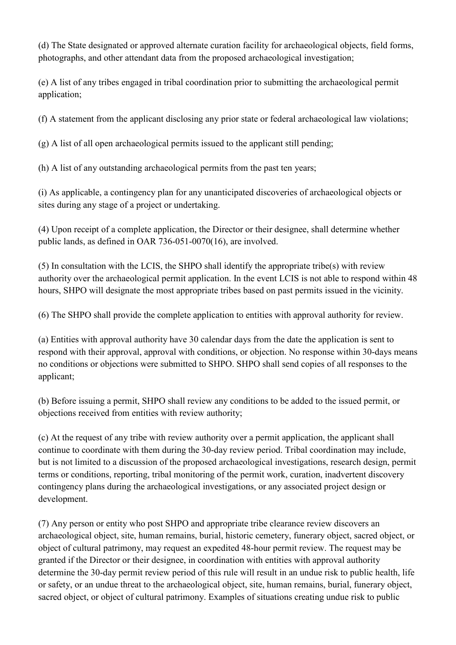(d) The State designated or approved alternate curation facility for archaeological objects, field forms, photographs, and other attendant data from the proposed archaeological investigation;

(e) A list of any tribes engaged in tribal coordination prior to submitting the archaeological permit application;

(f) A statement from the applicant disclosing any prior state or federal archaeological law violations;

(g) A list of all open archaeological permits issued to the applicant still pending;

(h) A list of any outstanding archaeological permits from the past ten years;

(i) As applicable, a contingency plan for any unanticipated discoveries of archaeological objects or sites during any stage of a project or undertaking.

(4) Upon receipt of a complete application, the Director or their designee, shall determine whether public lands, as defined in OAR 736-051-0070(16), are involved.

(5) In consultation with the LCIS, the SHPO shall identify the appropriate tribe(s) with review authority over the archaeological permit application. In the event LCIS is not able to respond within 48 hours, SHPO will designate the most appropriate tribes based on past permits issued in the vicinity.

(6) The SHPO shall provide the complete application to entities with approval authority for review.

(a) Entities with approval authority have 30 calendar days from the date the application is sent to respond with their approval, approval with conditions, or objection. No response within 30-days means no conditions or objections were submitted to SHPO. SHPO shall send copies of all responses to the applicant;

(b) Before issuing a permit, SHPO shall review any conditions to be added to the issued permit, or objections received from entities with review authority;

(c) At the request of any tribe with review authority over a permit application, the applicant shall continue to coordinate with them during the 30-day review period. Tribal coordination may include, but is not limited to a discussion of the proposed archaeological investigations, research design, permit terms or conditions, reporting, tribal monitoring of the permit work, curation, inadvertent discovery contingency plans during the archaeological investigations, or any associated project design or development.

(7) Any person or entity who post SHPO and appropriate tribe clearance review discovers an archaeological object, site, human remains, burial, historic cemetery, funerary object, sacred object, or object of cultural patrimony, may request an expedited 48-hour permit review. The request may be granted if the Director or their designee, in coordination with entities with approval authority determine the 30-day permit review period of this rule will result in an undue risk to public health, life or safety, or an undue threat to the archaeological object, site, human remains, burial, funerary object, sacred object, or object of cultural patrimony. Examples of situations creating undue risk to public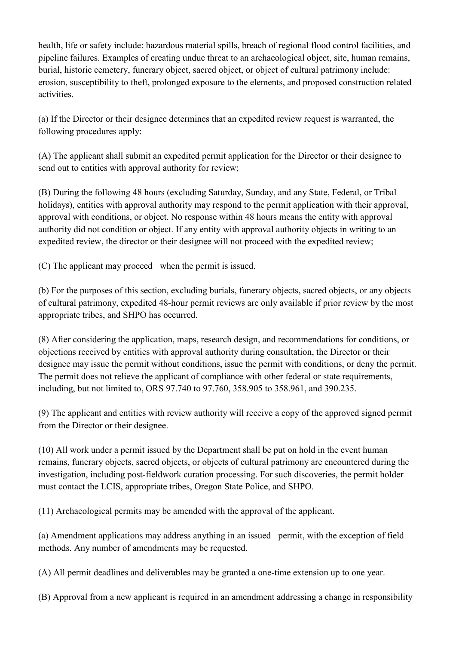health, life or safety include: hazardous material spills, breach of regional flood control facilities, and pipeline failures. Examples of creating undue threat to an archaeological object, site, human remains, burial, historic cemetery, funerary object, sacred object, or object of cultural patrimony include: erosion, susceptibility to theft, prolonged exposure to the elements, and proposed construction related activities.

(a) If the Director or their designee determines that an expedited review request is warranted, the following procedures apply:

(A) The applicant shall submit an expedited permit application for the Director or their designee to send out to entities with approval authority for review;

(B) During the following 48 hours (excluding Saturday, Sunday, and any State, Federal, or Tribal holidays), entities with approval authority may respond to the permit application with their approval, approval with conditions, or object. No response within 48 hours means the entity with approval authority did not condition or object. If any entity with approval authority objects in writing to an expedited review, the director or their designee will not proceed with the expedited review;

(C) The applicant may proceed when the permit is issued.

(b) For the purposes of this section, excluding burials, funerary objects, sacred objects, or any objects of cultural patrimony, expedited 48-hour permit reviews are only available if prior review by the most appropriate tribes, and SHPO has occurred.

(8) After considering the application, maps, research design, and recommendations for conditions, or objections received by entities with approval authority during consultation, the Director or their designee may issue the permit without conditions, issue the permit with conditions, or deny the permit. The permit does not relieve the applicant of compliance with other federal or state requirements, including, but not limited to, ORS 97.740 to 97.760, 358.905 to 358.961, and 390.235.

(9) The applicant and entities with review authority will receive a copy of the approved signed permit from the Director or their designee.

(10) All work under a permit issued by the Department shall be put on hold in the event human remains, funerary objects, sacred objects, or objects of cultural patrimony are encountered during the investigation, including post-fieldwork curation processing. For such discoveries, the permit holder must contact the LCIS, appropriate tribes, Oregon State Police, and SHPO.

(11) Archaeological permits may be amended with the approval of the applicant.

(a) Amendment applications may address anything in an issued permit, with the exception of field methods. Any number of amendments may be requested.

(A) All permit deadlines and deliverables may be granted a one-time extension up to one year.

(B) Approval from a new applicant is required in an amendment addressing a change in responsibility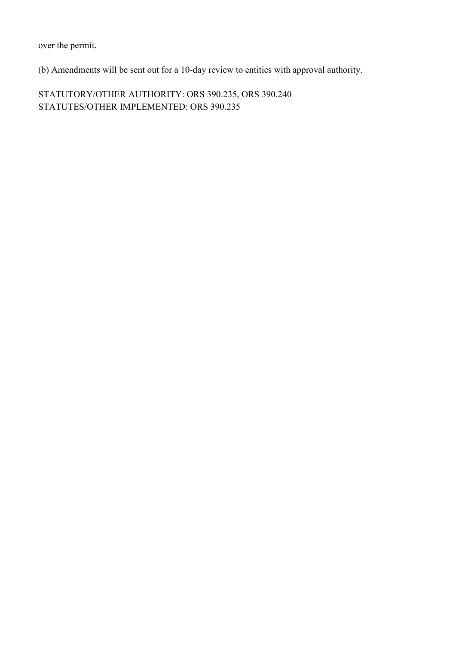over the permit.

(b) Amendments will be sent out for a 10-day review to entities with approval authority.

STATUTORY/OTHER AUTHORITY: ORS 390.235, ORS 390.240 STATUTES/OTHER IMPLEMENTED: ORS 390.235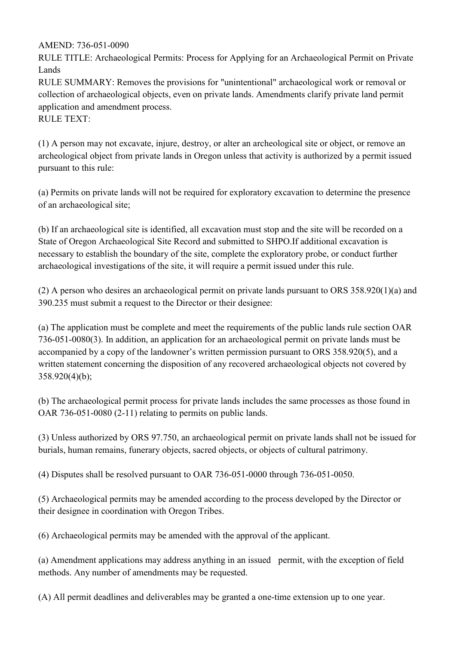RULE TITLE: Archaeological Permits: Process for Applying for an Archaeological Permit on Private Lands

RULE SUMMARY: Removes the provisions for "unintentional" archaeological work or removal or collection of archaeological objects, even on private lands. Amendments clarify private land permit application and amendment process.

RULE TEXT:

(1) A person may not excavate, injure, destroy, or alter an archeological site or object, or remove an archeological object from private lands in Oregon unless that activity is authorized by a permit issued pursuant to this rule:

(a) Permits on private lands will not be required for exploratory excavation to determine the presence of an archaeological site;

(b) If an archaeological site is identified, all excavation must stop and the site will be recorded on a State of Oregon Archaeological Site Record and submitted to SHPO.If additional excavation is necessary to establish the boundary of the site, complete the exploratory probe, or conduct further archaeological investigations of the site, it will require a permit issued under this rule.

(2) A person who desires an archaeological permit on private lands pursuant to ORS 358.920(1)(a) and 390.235 must submit a request to the Director or their designee:

(a) The application must be complete and meet the requirements of the public lands rule section OAR 736-051-0080(3). In addition, an application for an archaeological permit on private lands must be accompanied by a copy of the landowner's written permission pursuant to ORS 358.920(5), and a written statement concerning the disposition of any recovered archaeological objects not covered by 358.920(4)(b);

(b) The archaeological permit process for private lands includes the same processes as those found in OAR 736-051-0080 (2-11) relating to permits on public lands.

(3) Unless authorized by ORS 97.750, an archaeological permit on private lands shall not be issued for burials, human remains, funerary objects, sacred objects, or objects of cultural patrimony.

(4) Disputes shall be resolved pursuant to OAR 736-051-0000 through 736-051-0050.

(5) Archaeological permits may be amended according to the process developed by the Director or their designee in coordination with Oregon Tribes.

(6) Archaeological permits may be amended with the approval of the applicant.

(a) Amendment applications may address anything in an issued permit, with the exception of field methods. Any number of amendments may be requested.

(A) All permit deadlines and deliverables may be granted a one-time extension up to one year.